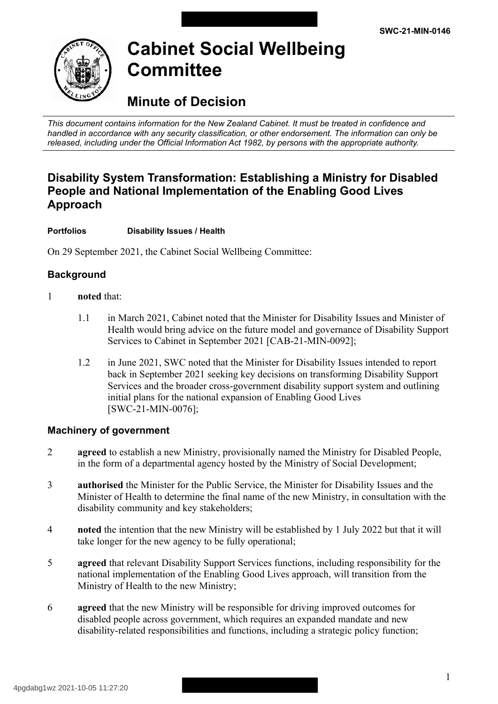

# **Cabinet Social Wellbeing Committee**

## **Minute of Decision**

 *This document contains information for the New Zealand Cabinet. It must be treated in confidence and handled in accordance with any security classification, or other endorsement. The information can only be released, including under the Official Information Act 1982, by persons with the appropriate authority.* 

### **Disability System Transformation: Establishing a Ministry for Disabled People and National Implementation of the Enabling Good Lives Approach**

#### **Portfolios Disability Issues / Health**

On 29 September 2021, the Cabinet Social Wellbeing Committee:

### **Background**

- 1 **noted** that:
	- 1.1 in March 2021, Cabinet noted that the Minister for Disability Issues and Minister of Health would bring advice on the future model and governance of Disability Support Services to Cabinet in September 2021 [CAB-21-MIN-0092];
	- 1.2 in June 2021, SWC noted that the Minister for Disability Issues intended to report back in September 2021 seeking key decisions on transforming Disability Support Services and the broader cross-government disability support system and outlining initial plans for the national expansion of Enabling Good Lives [SWC-21-MIN-0076];

#### **Machinery of government**

- 2 **agreed** to establish a new Ministry, provisionally named the Ministry for Disabled People, in the form of a departmental agency hosted by the Ministry of Social Development;
- 3 **authorised** the Minister for the Public Service, the Minister for Disability Issues and the Minister of Health to determine the final name of the new Ministry, in consultation with the disability community and key stakeholders;
- 4 **noted** the intention that the new Ministry will be established by 1 July 2022 but that it will take longer for the new agency to be fully operational;
- 5 **a reed** that relevant Disability Support Services functions, including responsibility for the national implementation of the Enabling Good Lives approach, will transition from the Ministry of Health to the new Ministry;
- 6 **a reed** that the new Ministry will be responsible for driving improved outcomes for disabled people across government, which requires an expanded mandate and new disability-related responsibilities and functions, including a strategic policy function;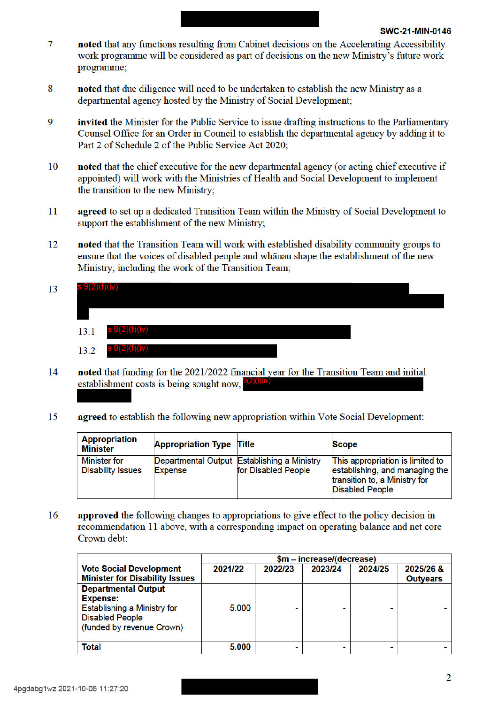- 7 noted that any functions resulting from Cabinet decisions on the Accelerating Accessibility work programme will be considered as part of decisions on the new Ministry's future work programme;
- 8 noted that due diligence will need to be undertaken to establish the new Ministry as a departmental agency hosted by the Ministry of Social Development:
- 9 **invited** the Minister for the Public Service to issue drafting instructions to the Parliamentary Counsel Office for an Order in Council to establish the departmental agency by adding it to Part 2 of Schedule 2 of the Public Service Act 2020:
- noted that the chief executive for the new departmental agency (or acting chief executive if 10 appointed) will work with the Ministries of Health and Social Development to implement the transition to the new Ministry:
- 11 agreed to set up a dedicated Transition Team within the Ministry of Social Development to support the establishment of the new Ministry;
- noted that the Transition Team will work with established disability community groups to 12 ensure that the voices of disabled people and whanau shape the establishment of the new Ministry, including the work of the Transition Team:
- $9(2)(f)(iv)$ 13  $13.1$  $\mathcal{I}(Z)(I)(I\!V)$  $\theta(2)(f)(iv)$ 13.2
- noted that funding for the 2021/2022 financial year for the Transition Team and initial 14 establishment costs is being sought now.  $\theta(2)(t)(IV)$
- agreed to establish the following new appropriation within Vote Social Development: 15

| <b>Appropriation</b><br><b>Minister</b>         | <b>Appropriation Type Title</b> |                                                                    | <b>Scope</b>                                                                                                                  |
|-------------------------------------------------|---------------------------------|--------------------------------------------------------------------|-------------------------------------------------------------------------------------------------------------------------------|
| <b>Minister for</b><br><b>Disability Issues</b> | <b>Expense</b>                  | Departmental Output Establishing a Ministry<br>for Disabled People | This appropriation is limited to<br>establishing, and managing the<br>transition to, a Ministry for<br><b>Disabled People</b> |

16 **approved** the following changes to appropriations to give effect to the policy decision in recommendation 11 above, with a corresponding impact on operating balance and net core Crown debt:

|                                       | \$m - increase/(decrease) |         |         |         |                 |
|---------------------------------------|---------------------------|---------|---------|---------|-----------------|
| <b>Vote Social Development</b>        | 2021/22                   | 2022/23 | 2023/24 | 2024/25 | 2025/26 &       |
| <b>Minister for Disability Issues</b> |                           |         |         |         | <b>Outyears</b> |
| <b>Departmental Output</b>            |                           |         |         |         |                 |
| <b>Expense:</b>                       |                           |         |         |         |                 |
| <b>Establishing a Ministry for</b>    | 5.000                     |         |         |         |                 |
| <b>Disabled People</b>                |                           |         |         |         |                 |
| (funded by revenue Crown)             |                           |         |         |         |                 |
|                                       |                           |         |         |         |                 |
| <b>Total</b>                          | 5.000                     |         |         |         |                 |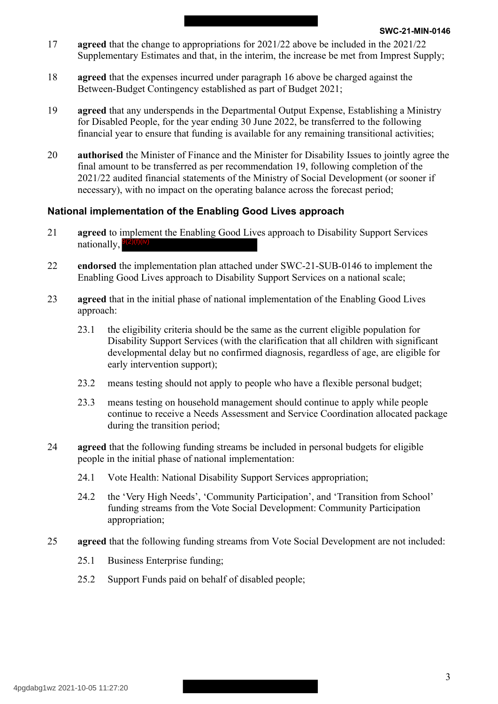- 17 **agreed** that the change to appropriations for 2021/22 above be included in the 2021/22 Supplementary Estimates and that, in the interim, the increase be met from Imprest Supply;
- 18 **agreed** that the expenses incurred under paragraph 16 above be charged against the Between-Budget Contingency established as part of Budget 2021;
- 19 **a reed** that any underspends in the Departmental Output Expense, Establishing a Ministry for Disabled People, for the year ending 30 June 2022, be transferred to the following financial year to ensure that funding is available for any remaining transitional activities;
- 20 **authorised** the Minister of Finance and the Minister for Disability Issues to jointly agree the final amount to be transferred as per recommendation 19, following completion of the 2021/22 audited financial statements of the Ministry of Social Development (or sooner if necessary), with no impact on the operating balance across the forecast period;

#### **National implementation of the Enabling Good Lives approach**

- **agreed** to implement the Enabling Good Lives approach to Disability Support Services 9(2)(f)(iv) 21 nationally,
- 22 **endorsed** the implementation plan attached under SWC-21-SUB-0146 to implement the Enabling Good Lives approach to Disability Support Services on a national scale;
- 23 **agreed** that in the initial phase of national implementation of the Enabling Good Lives approach:
	- 23.1 the eligibility criteria should be the same as the current eligible population for Disability Support Services (with the clarification that all children with significant developmental delay but no confirmed diagnosis, regardless of age, are eligible for early intervention support);
	- 23.2 means testing should not apply to people who have a flexible personal budget;
	- 23.3 means testing on household management should continue to apply while people continue to receive a Needs Assessment and Service Coordination allocated package during the transition period;
- 24 **a reed** that the following funding streams be included in personal budgets for eligible people in the initial phase of national implementation:
	- 24.1 Vote Health: National Disability Support Services appropriation;
	- 24.2 the 'Very High Needs', 'Community Participation', and 'Transition from School' funding streams from the Vote Social Development: Community Participation appropriation;
- 25 **agreed** that the following funding streams from Vote Social Development are not included:
	- 25.1 Business Enterprise funding;
	- 25.2 Support Funds paid on behalf of disabled people;